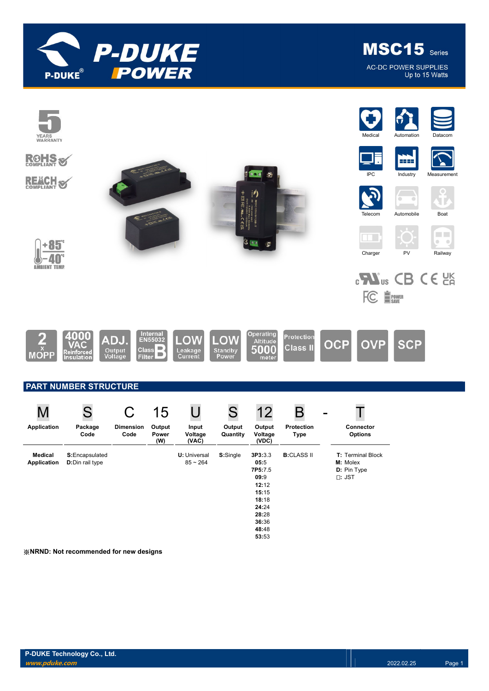

MSC15 Series **AC-DC POWER SUPPLIES** Up to 15 Watts



※NRND: Not recommended for new designs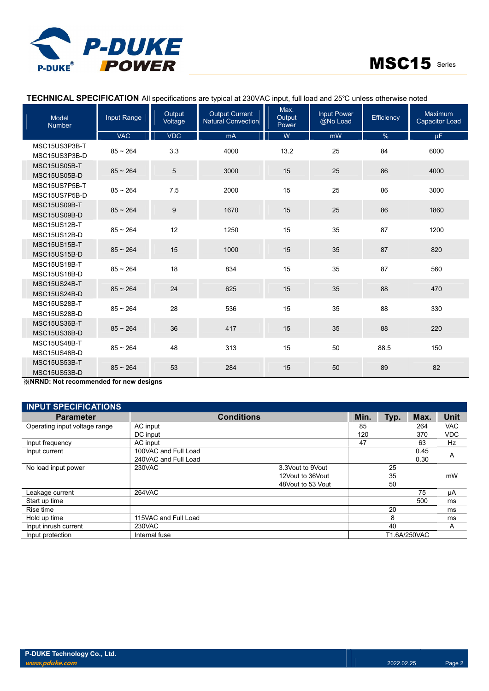

## TECHNICAL SPECIFICATION All specifications are typical at 230VAC input, full load and 25℃ unless otherwise noted

| Model<br><b>Number</b>         | Input Range | Output<br>Voltage | <b>Output Current</b><br><b>Natural Convection</b> | Max.<br>Output<br>Power | <b>Input Power</b><br>@No Load | Efficiency | Maximum<br><b>Capacitor Load</b> |
|--------------------------------|-------------|-------------------|----------------------------------------------------|-------------------------|--------------------------------|------------|----------------------------------|
|                                | <b>VAC</b>  | <b>VDC</b>        | mA                                                 | W                       | mW                             | $\%$       | $\mu$ F                          |
| MSC15US3P3B-T<br>MSC15US3P3B-D | $85 - 264$  | 3.3               | 4000                                               | 13.2                    | 25                             | 84         | 6000                             |
| MSC15US05B-T<br>MSC15US05B-D   | $85 - 264$  | $\overline{5}$    | 3000                                               | 15                      | 25                             | 86         | 4000                             |
| MSC15US7P5B-T<br>MSC15US7P5B-D | $85 - 264$  | 7.5               | 2000                                               | 15                      | 25                             | 86         | 3000                             |
| MSC15US09B-T<br>MSC15US09B-D   | $85 - 264$  | $\boldsymbol{9}$  | 1670                                               | 15                      | 25                             | 86         | 1860                             |
| MSC15US12B-T<br>MSC15US12B-D   | $85 - 264$  | 12                | 1250                                               | 15                      | 35                             | 87         | 1200                             |
| MSC15US15B-T<br>MSC15US15B-D   | $85 - 264$  | 15                | 1000                                               | 15                      | 35                             | 87         | 820                              |
| MSC15US18B-T<br>MSC15US18B-D   | $85 - 264$  | 18                | 834                                                | 15                      | 35                             | 87         | 560                              |
| MSC15US24B-T<br>MSC15US24B-D   | $85 - 264$  | 24                | 625                                                | 15                      | 35                             | 88         | 470                              |
| MSC15US28B-T<br>MSC15US28B-D   | $85 - 264$  | 28                | 536                                                | 15                      | 35                             | 88         | 330                              |
| MSC15US36B-T<br>MSC15US36B-D   | $85 - 264$  | 36                | 417                                                | 15                      | 35                             | 88         | 220                              |
| MSC15US48B-T<br>MSC15US48B-D   | $85 - 264$  | 48                | 313                                                | 15                      | 50                             | 88.5       | 150                              |
| MSC15US53B-T<br>MSC15US53B-D   | $85 - 264$  | 53                | 284                                                | 15                      | 50                             | 89         | 82                               |

※NRND: Not recommended for new designs

| <b>INPUT SPECIFICATIONS</b>   |                      |                   |                    |      |      |              |            |
|-------------------------------|----------------------|-------------------|--------------------|------|------|--------------|------------|
| <b>Parameter</b>              |                      | <b>Conditions</b> |                    | Min. | Typ. | Max.         | Unit       |
| Operating input voltage range | AC input             |                   |                    | 85   |      | 264          | <b>VAC</b> |
|                               | DC input             |                   |                    | 120  |      | 370          | <b>VDC</b> |
| Input frequency               | AC input             |                   |                    | 47   |      | 63           | Hz         |
| Input current                 | 100VAC and Full Load |                   |                    |      |      | 0.45         | Α          |
|                               | 240VAC and Full Load |                   |                    |      |      | 0.30         |            |
| No load input power           | 230VAC               |                   | 3.3 Vout to 9 Vout |      | 25   |              |            |
|                               |                      |                   | 12Vout to 36Vout   |      | 35   |              | mW         |
|                               |                      |                   | 48 Vout to 53 Vout |      | 50   |              |            |
| Leakage current               | 264VAC               |                   |                    |      |      | 75           | μA         |
| Start up time                 |                      |                   |                    |      |      | 500          | ms         |
| Rise time                     |                      |                   |                    |      | 20   |              | ms         |
| Hold up time                  | 115VAC and Full Load |                   |                    |      | 8    |              | ms         |
| Input inrush current          | 230VAC               |                   |                    |      | 40   |              | A          |
| Input protection              | Internal fuse        |                   |                    |      |      | T1.6A/250VAC |            |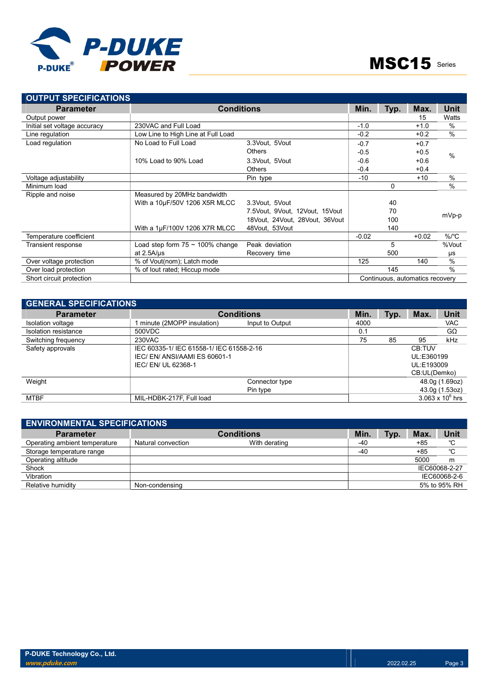

| <b>OUTPUT SPECIFICATIONS</b> |                                       |                                    |         |      |                                 |               |
|------------------------------|---------------------------------------|------------------------------------|---------|------|---------------------------------|---------------|
| <b>Parameter</b>             | <b>Conditions</b>                     |                                    | Min.    | Typ. | Max.                            | Unit          |
| Output power                 |                                       |                                    |         |      | 15                              | Watts         |
| Initial set voltage accuracy | 230VAC and Full Load                  |                                    | $-1.0$  |      | $+1.0$                          | $\frac{0}{0}$ |
| Line regulation              | Low Line to High Line at Full Load    |                                    | $-0.2$  |      | $+0.2$                          | $\frac{0}{0}$ |
| Load regulation              | No Load to Full Load                  | 3.3Vout, 5Vout                     | $-0.7$  |      | $+0.7$                          |               |
|                              |                                       | <b>Others</b>                      | $-0.5$  |      | $+0.5$                          | $\frac{0}{0}$ |
|                              | 10% Load to 90% Load                  | 3.3Vout, 5Vout                     | $-0.6$  |      | $+0.6$                          |               |
|                              |                                       | <b>Others</b>                      | $-0.4$  |      | $+0.4$                          |               |
| Voltage adjustability        |                                       | Pin type                           | $-10$   |      | $+10$                           | $\frac{0}{0}$ |
| Minimum load                 |                                       |                                    |         | 0    |                                 | $\frac{0}{0}$ |
| Ripple and noise             | Measured by 20MHz bandwidth           |                                    |         |      |                                 |               |
|                              | With a 10µF/50V 1206 X5R MLCC         | 3.3Vout, 5Vout                     |         | 40   |                                 |               |
|                              |                                       | 7.5 Vout, 9 Vout, 12 Vout, 15 Vout |         | 70   |                                 |               |
|                              |                                       | 18Vout, 24Vout, 28Vout, 36Vout     |         | 100  |                                 | mVp-p         |
|                              | With a 1µF/100V 1206 X7R MLCC         | 48Vout, 53Vout                     |         | 140  |                                 |               |
| Temperature coefficient      |                                       |                                    | $-0.02$ |      | $+0.02$                         | $\%$ /°C      |
| Transient response           | Load step form $75 \sim 100\%$ change | Peak deviation                     |         | 5    |                                 | %Vout         |
|                              | at $2.5A/\mu s$                       | Recovery time                      |         | 500  |                                 | μs            |
| Over voltage protection      | % of Vout(nom); Latch mode            |                                    | 125     |      | 140                             | $\frac{0}{0}$ |
| Over load protection         | % of lout rated; Hiccup mode          |                                    |         | 145  |                                 | $\frac{0}{0}$ |
| Short circuit protection     |                                       |                                    |         |      | Continuous, automatics recovery |               |

| <b>GENERAL SPECIFICATIONS</b> |                                          |                 |      |      |              |                         |
|-------------------------------|------------------------------------------|-----------------|------|------|--------------|-------------------------|
| <b>Parameter</b>              | <b>Conditions</b>                        |                 | Min. | Typ. | Max.         | <b>Unit</b>             |
| Isolation voltage             | minute (2MOPP insulation)                | Input to Output | 4000 |      |              | VAC                     |
| Isolation resistance          | 500VDC                                   |                 | 0.1  |      |              | GΩ                      |
| Switching frequency           | 230VAC                                   |                 | 75   | 85   | 95           | kHz                     |
| Safety approvals              | IEC 60335-1/ IEC 61558-1/ IEC 61558-2-16 |                 |      |      | CB:TUV       |                         |
|                               | IEC/EN/ANSI/AAMIES 60601-1               |                 |      |      | UL:E360199   |                         |
|                               | IEC/EN/UL 62368-1                        |                 |      |      | UL:E193009   |                         |
|                               |                                          |                 |      |      | CB:UL(Demko) |                         |
| Weight                        |                                          | Connector type  |      |      |              | 48.0g (1.69oz)          |
|                               |                                          | Pin type        |      |      |              | 43.0g (1.53oz)          |
| <b>MTBF</b>                   | MIL-HDBK-217F, Full load                 |                 |      |      |              | $3.063 \times 10^6$ hrs |

| <b>ENVIRONMENTAL SPECIFICATIONS</b> |                    |                   |       |      |            |               |
|-------------------------------------|--------------------|-------------------|-------|------|------------|---------------|
| <b>Parameter</b>                    |                    | <b>Conditions</b> | Min.  | Typ. | <b>Max</b> | Unit          |
| Operating ambient temperature       | Natural convection | With derating     | -40   |      | $+85$      | °C            |
| Storage temperature range           |                    |                   | $-40$ |      | $+85$      | °C            |
| Operating altitude                  |                    |                   |       |      | 5000       | m             |
| Shock                               |                    |                   |       |      |            | IEC60068-2-27 |
| Vibration                           |                    |                   |       |      |            | IEC60068-2-6  |
| Relative humidity                   | Non-condensing     |                   |       |      |            | 5% to 95% RH  |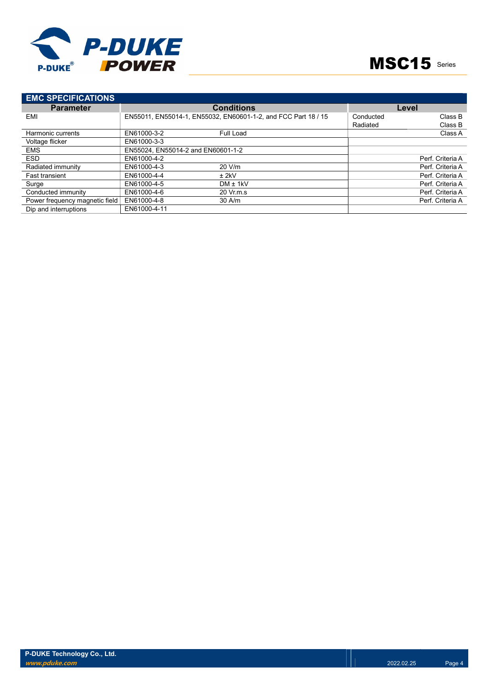

| <b>EMC SPECIFICATIONS</b>      |                                    |                                                                |           |                  |
|--------------------------------|------------------------------------|----------------------------------------------------------------|-----------|------------------|
| <b>Parameter</b>               |                                    | <b>Conditions</b>                                              |           | Level            |
| EMI                            |                                    | EN55011, EN55014-1, EN55032, EN60601-1-2, and FCC Part 18 / 15 | Conducted | Class B          |
|                                |                                    |                                                                | Radiated  | Class B          |
| Harmonic currents              | EN61000-3-2                        | Full Load                                                      |           | Class A          |
| Voltage flicker                | EN61000-3-3                        |                                                                |           |                  |
| <b>EMS</b>                     | EN55024, EN55014-2 and EN60601-1-2 |                                                                |           |                  |
| <b>ESD</b>                     | EN61000-4-2                        |                                                                |           | Perf. Criteria A |
| Radiated immunity              | EN61000-4-3                        | 20 V/m                                                         |           | Perf. Criteria A |
| <b>Fast transient</b>          | EN61000-4-4                        | $±$ 2kV                                                        |           | Perf. Criteria A |
| Surge                          | EN61000-4-5                        | $DM \pm 1kV$                                                   |           | Perf. Criteria A |
| Conducted immunity             | EN61000-4-6                        | 20 Vr.m.s                                                      |           | Perf. Criteria A |
| Power frequency magnetic field | EN61000-4-8                        | $30$ A/m                                                       |           | Perf. Criteria A |
| Dip and interruptions          | EN61000-4-11                       |                                                                |           |                  |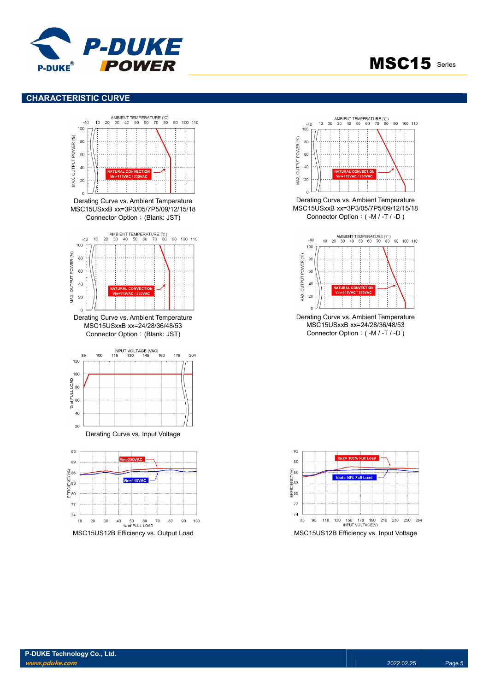

#### CHARACTERISTIC CURVE





**MSC15** Series

Derating Curve vs. Ambient Temperature MSC15USxxB xx=3P3/05/7P5/09/12/15/18 Connector Option:( -M / -T / -D )



Derating Curve vs. Ambient Temperature MSC15USxxB xx=24/28/36/48/53 Connector Option:( -M / -T / -D )

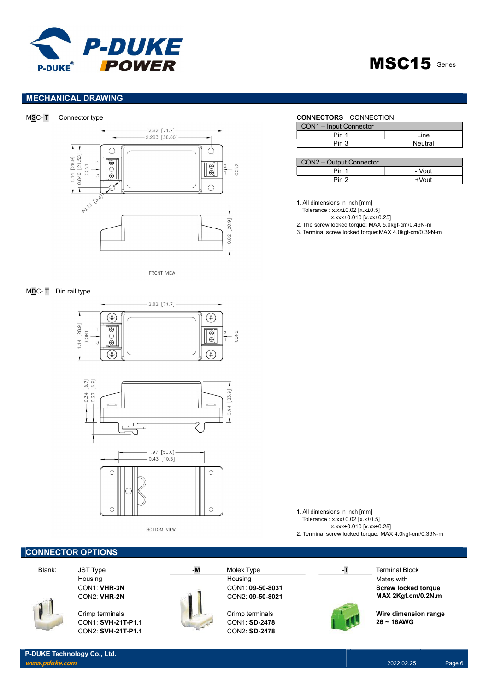



### MECHANICAL DRAWING





FRONT VIEW

#### MDC- T Din rail type





BOTTOM VIEW

P-DUKE Technology Co., Ltd.

|        | <b>CONNECTOR OPTIONS</b> |    |                  |    |                            |
|--------|--------------------------|----|------------------|----|----------------------------|
| Blank: | <b>JST Type</b>          | -M | Molex Type       | -T | <b>Terminal Block</b>      |
|        | Housing                  |    | Housing          |    | Mates with                 |
|        | CON1: VHR-3N             |    | CON1: 09-50-8031 |    | <b>Screw locked torque</b> |
|        | CON2: VHR-2N             |    | CON2: 09-50-8021 |    | MAX 2Kgf.cm/0.2N.m         |
|        | Crimp terminals          |    | Crimp terminals  |    | Wire dimension range       |
|        | CON1: SVH-21T-P1.1       |    | CON1: SD-2478    |    | $26 - 16$ AWG              |
|        | CON2: SVH-21T-P1.1       |    | CON2: SD-2478    |    |                            |

#### MSC- T Connector type CONNECTORS CONNECTION

| CON1 - Input Connector |         |
|------------------------|---------|
| Pin 1                  | l ine   |
| Pin 3                  | Neutral |

| CON2 - Output Connector |          |
|-------------------------|----------|
| Pin 1                   | - Vout   |
| Din 2                   | $+V$ out |

- 1. All dimensions in inch [mm]
	- Tolerance : x.xx±0.02 [x.x±0.5]
		- x.xxx±0.010 [x.xx±0.25]

1. All dimensions in inch [mm] Tolerance : x.xx±0.02 [x.x±0.5]

 x.xxx±0.010 [x.xx±0.25] 2. Terminal screw locked torque: MAX 4.0kgf-cm/0.39N-m

- 2. The screw locked torque: MAX 5.0kgf-cm/0.49N-m
- 3. Terminal screw locked torque:MAX 4.0kgf-cm/0.39N-m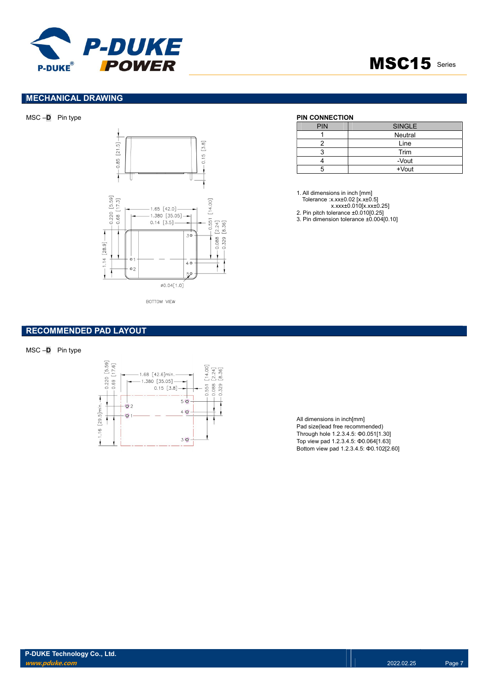

# **MSC15** Series

#### MECHANICAL DRAWING





| <b>PIN</b> | <b>SINGLE</b> |
|------------|---------------|
|            | Neutral       |
|            | Line          |
|            | Trim          |
|            | -Vout         |
|            | +Vout         |

1. All dimensions in inch [mm]

- Tolerance :x.xx±0.02 [x.x±0.5]
	- x.xxx±0.010[x.xx±0.25]
- 2. Pin pitch tolerance ±0.010[0.25]

3. Pin dimension tolerance ±0.004[0.10]

#### RECOMMENDED PAD LAYOUT

![](_page_6_Figure_13.jpeg)

![](_page_6_Figure_14.jpeg)

All dimensions in inch[mm] Pad size(lead free recommended) Through hole 1.2.3.4.5: Φ0.051[1.30] Top view pad 1.2.3.4.5: Φ0.064[1.63] Bottom view pad 1.2.3.4.5: Φ0.102[2.60]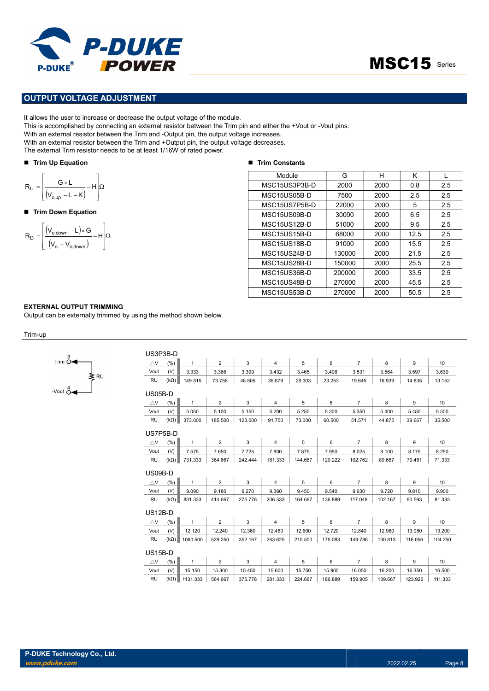![](_page_7_Picture_0.jpeg)

### OUTPUT VOLTAGE ADJUSTMENT

It allows the user to increase or decrease the output voltage of the module.

This is accomplished by connecting an external resistor between the Trim pin and either the +Vout or -Vout pins.

With an external resistor between the Trim and -Output pin, the output voltage increases.

With an external resistor between the Trim and +Output pin, the output voltage decreases.

The external Trim resistor needs to be at least 1/16W of rated power.

#### ■ Trim Up Equation

$$
R_{U} = \left[\frac{G \times L}{(V_{o,up} - L - K)} - H\right] \Omega
$$

#### ■ Trim Down Equation

$$
R_{D} = \left[ \frac{(V_{o,\text{down}} - L) \times G}{(V_{o} - V_{o,\text{down}})} - H \right] \Omega
$$

#### ■ Trim Constants

| <b>P-DUKE</b><br><b>POWER</b><br><b>DUKE®</b>                                                                                                                                                                                                                                                                                                                                                                                                 |                       |        |      | MSC15 Series |     |
|-----------------------------------------------------------------------------------------------------------------------------------------------------------------------------------------------------------------------------------------------------------------------------------------------------------------------------------------------------------------------------------------------------------------------------------------------|-----------------------|--------|------|--------------|-----|
|                                                                                                                                                                                                                                                                                                                                                                                                                                               |                       |        |      |              |     |
| <b>UT VOLTAGE ADJUSTMENT</b>                                                                                                                                                                                                                                                                                                                                                                                                                  |                       |        |      |              |     |
| s the user to increase or decrease the output voltage of the module.<br>accomplished by connecting an external resistor between the Trim pin and either the +Vout or -Vout pins.<br>external resistor between the Trim and -Output pin, the output voltage increases.<br>external resistor between the Trim and +Output pin, the output voltage decreases.<br>ernal Trim resistor needs to be at least 1/16W of rated power.<br>I Up Equation |                       |        |      |              |     |
|                                                                                                                                                                                                                                                                                                                                                                                                                                               | <b>Trim Constants</b> |        |      |              |     |
|                                                                                                                                                                                                                                                                                                                                                                                                                                               | Module                | G      | H    | K            | L   |
|                                                                                                                                                                                                                                                                                                                                                                                                                                               | MSC15US3P3B-D         | 2000   | 2000 | 0.8          | 2.5 |
| $\frac{G \times L}{(V_{o,up} - L - K)} - H \left  \Omega \right $                                                                                                                                                                                                                                                                                                                                                                             | MSC15US05B-D          | 7500   | 2000 | 2.5          | 2.5 |
|                                                                                                                                                                                                                                                                                                                                                                                                                                               | MSC15US7P5B-D         | 22000  | 2000 | 5            | 2.5 |
| Down Equation                                                                                                                                                                                                                                                                                                                                                                                                                                 | MSC15US09B-D          | 30000  | 2000 | 6.5          | 2.5 |
|                                                                                                                                                                                                                                                                                                                                                                                                                                               | MSC15US12B-D          | 51000  | 2000 | 9.5          | 2.5 |
|                                                                                                                                                                                                                                                                                                                                                                                                                                               | MSC15US15B-D          | 68000  | 2000 | 12.5         | 2.5 |
| $\frac{(V_{o,\text{down}} - L) \times G}{(V_o - V_{o,\text{down}})} - H \left  \Omega \right $                                                                                                                                                                                                                                                                                                                                                | MSC15US18B-D          | 91000  | 2000 | 15.5         | 2.5 |
|                                                                                                                                                                                                                                                                                                                                                                                                                                               | MSC15US24B-D          | 130000 | 2000 | 21.5         | 2.5 |
|                                                                                                                                                                                                                                                                                                                                                                                                                                               | MSC15US28B-D          | 150000 | 2000 | 25.5         | 2.5 |
|                                                                                                                                                                                                                                                                                                                                                                                                                                               | MSC15US36B-D          | 200000 | 2000 | 33.5         | 2.5 |
|                                                                                                                                                                                                                                                                                                                                                                                                                                               | MSC15US48B-D          | 270000 | 2000 | 45.5         | 2.5 |
|                                                                                                                                                                                                                                                                                                                                                                                                                                               | MSC15US53B-D          | 270000 | 2000 | 50.5         | 2.5 |

#### EXTERNAL OUTPUT TRIMMING

Output can be externally trimmed by using the method shown below.

Trim-up

| 3<br>Trim O               |      |
|---------------------------|------|
| Vout $\stackrel{4}{\cap}$ | ≅ RU |

|                       | US3P3B-D      |              |                |         |                |         |         |                |         |         |         |
|-----------------------|---------------|--------------|----------------|---------|----------------|---------|---------|----------------|---------|---------|---------|
| $\triangle$ V         | (%)           | $\mathbf{1}$ | $\overline{2}$ | 3       | $\overline{4}$ | 5       | 6       | $\overline{7}$ | 8       | 9       | 10      |
| Vout                  | (V)           | 3.333        | 3.366          | 3.399   | 3.432          | 3.465   | 3.498   | 3.531          | 3.564   | 3.597   | 3.630   |
| <b>RU</b>             | $(k\Omega)$   | 149.515      | 73.758         | 48.505  | 35.879         | 28.303  | 23.253  | 19.645         | 16.939  | 14.835  | 13.152  |
| US05B-D               |               |              |                |         |                |         |         |                |         |         |         |
| $\triangle$ V         | (%)           | $\mathbf{1}$ | $\overline{2}$ | 3       | $\overline{4}$ | 5       | 6       | $\overline{7}$ | 8       | 9       | 10      |
| Vout                  | (V)           | 5.050        | 5.100          | 5.150   | 5.200          | 5.250   | 5.300   | 5.350          | 5.400   | 5.450   | 5.500   |
| <b>RU</b>             | $(k\Omega)$   | 373.000      | 185.500        | 123.000 | 91.750         | 73.000  | 60.500  | 51.571         | 44.875  | 39.667  | 35.500  |
| US7P5B-D              |               |              |                |         |                |         |         |                |         |         |         |
| $\triangle$ V         | (% )          | $\mathbf{1}$ | $\overline{2}$ | 3       | $\overline{4}$ | 5       | 6       | $\overline{7}$ | 8       | 9       | 10      |
| Vout                  | (V)           | 7.575        | 7.650          | 7.725   | 7.800          | 7.875   | 7.950   | 8.025          | 8.100   | 8.175   | 8.250   |
| <b>RU</b>             | $(k\Omega)$   | 731.333      | 364.667        | 242.444 | 181.333        | 144.667 | 120.222 | 102.762        | 89.667  | 79.481  | 71.333  |
| US09B-D               |               |              |                |         |                |         |         |                |         |         |         |
| $\triangle$ V         | (%)           | $\mathbf{1}$ | $\overline{2}$ | 3       | $\overline{4}$ | 5       | 6       | $\overline{7}$ | 8       | 9       | 10      |
| Vout                  | (V)           | 9.090        | 9.180          | 9.270   | 9.360          | 9.450   | 9.540   | 9.630          | 9.720   | 9.810   | 9.900   |
| <b>RU</b>             | $(k\Omega)$   |              |                |         |                |         |         |                |         |         |         |
|                       |               | 831.333      | 414.667        | 275.778 | 206.333        | 164.667 | 136.889 | 117.048        | 102.167 | 90.593  | 81.333  |
| <b>US12B-D</b>        |               |              |                |         |                |         |         |                |         |         |         |
|                       |               | $\mathbf{1}$ | $\overline{2}$ | 3       | $\overline{4}$ | 5       | 6       | $\overline{7}$ | 8       | 9       | 10      |
| $\triangle$ V<br>Vout | $(\%)$<br>(V) | 12.120       | 12.240         | 12.360  | 12.480         | 12.600  | 12.720  | 12.840         | 12.960  | 13.080  | 13.200  |
| <b>RU</b>             | $(k\Omega)$   | 1060.500     | 529.250        | 352.167 | 263.625        | 210.500 | 175.083 | 149.786        | 130.813 | 116.056 | 104.250 |
| <b>US15B-D</b>        |               |              |                |         |                |         |         |                |         |         |         |
| $\triangle$ V         | (% )          | $\mathbf{1}$ | $\overline{2}$ | 3       | $\overline{4}$ | 5       | 6       | $\overline{7}$ | 8       | 9       | 10      |
| Vout                  | (V)           | 15.150       | 15.300         | 15.450  | 15.600         | 15.750  | 15.900  | 16.050         | 16.200  | 16.350  | 16.500  |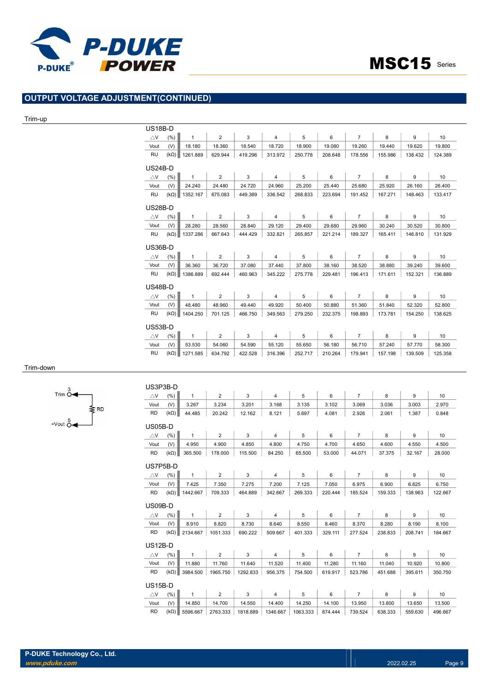![](_page_8_Picture_0.jpeg)

# OUTPUT VOLTAGE ADJUSTMENT(CONTINUED)

#### Trim-up

| US18B-D        |             |              |                |         |                |         |         |                |         |         |                                                                   |
|----------------|-------------|--------------|----------------|---------|----------------|---------|---------|----------------|---------|---------|-------------------------------------------------------------------|
| $\triangle$ V  | (% )        | $\mathbf{1}$ | $\overline{2}$ | 3       | $\overline{4}$ | 5       | 6       | $\overline{7}$ | 8       | 9       | 10 <sup>1</sup>                                                   |
| Vout           | (V)         | 18.180       | 18.360         | 18.540  | 18.720         | 18.900  | 19.080  | 19.260         | 19.440  | 19.620  | 19.800                                                            |
| <b>RU</b>      | $(k\Omega)$ | 1261.889     | 629.944        | 419.296 | 313.972        | 250.778 | 208.648 | 178.556        | 155.986 | 138.432 | 124.389                                                           |
| <b>US24B-D</b> |             |              |                |         |                |         |         |                |         |         |                                                                   |
| $\triangle$ V  | (% )        | $\mathbf{1}$ | $\overline{2}$ | 3       | $\overline{4}$ | 5       | 6       | $\overline{7}$ | 8       | 9       | 10 <sup>1</sup>                                                   |
| Vout           | (V)         | 24.240       | 24.480         | 24.720  | 24.960         | 25.200  | 25.440  | 25.680         | 25.920  | 26.160  | 26.400                                                            |
| <b>RU</b>      | $(k\Omega)$ | 1352.167     | 675.083        | 449.389 | 336.542        | 268.833 | 223.694 | 191.452        | 167.271 | 148.463 | 133.417                                                           |
| US28B-D        |             |              |                |         |                |         |         |                |         |         |                                                                   |
| $\triangle$ V  | (% )        | $\mathbf{1}$ | $\overline{2}$ | 3       | $\overline{4}$ | 5       | 6       | $\overline{7}$ | 8       | 9       | 10 <sup>1</sup>                                                   |
| Vout           | (V)         | 28.280       | 28.560         | 28.840  | 29.120         | 29.400  | 29.680  | 29.960         | 30.240  | 30.520  | 30.800                                                            |
| <b>RU</b>      | $(k\Omega)$ | 1337.286     | 667.643        | 444.429 | 332.821        | 265.857 | 221.214 | 189.327        | 165.411 | 146.810 | 131.929                                                           |
| <b>US36B-D</b> |             |              |                |         |                |         |         |                |         |         |                                                                   |
| $\triangle$ V  | (% )        | $\mathbf{1}$ | $\overline{2}$ | 3       | $\overline{4}$ | 5       | 6       | $\overline{7}$ | 8       | 9       | 10 <sup>1</sup>                                                   |
| Vout           | (V)         | 36.360       | 36.720         | 37.080  | 37.440         | 37.800  | 38.160  | 38.520         | 38.880  | 39.240  | 39.600                                                            |
| <b>RU</b>      | $(k\Omega)$ | 1386.889     | 692.444        | 460.963 | 345.222        | 275.778 | 229.481 | 196.413        | 171.611 | 152.321 | 136.889                                                           |
| <b>US48B-D</b> |             |              |                |         |                |         |         |                |         |         |                                                                   |
|                |             |              |                |         |                |         |         |                |         |         |                                                                   |
| $\triangle$ V  | (% )        | $\mathbf{1}$ | $\overline{2}$ | 3       | $\overline{4}$ | 5       | 6       | $\overline{7}$ | 8       | 9       |                                                                   |
| Vout           | (V)         | 48.480       | 48.960         | 49.440  | 49.920         | 50.400  | 50.880  | 51.360         | 51.840  | 52.320  |                                                                   |
| RU             | $(k\Omega)$ | 1404.250     | 701.125        | 466.750 | 349.563        | 279.250 | 232.375 | 198.893        | 173.781 | 154.250 |                                                                   |
| US53B-D        |             |              |                |         |                |         |         |                |         |         |                                                                   |
| $\triangle$ V  | (% )        | $\mathbf{1}$ | $\overline{2}$ | 3       | $\overline{4}$ | 5       | 6       | $\overline{7}$ | 8       | 9       |                                                                   |
| Vout           | (V)         | 53.530       | 54.060         | 54.590  | 55.120         | 55.650  | 56.180  | 56.710         | 57.240  | 57.770  | 10 <sup>1</sup><br>52.800<br>138.625<br>10 <sup>1</sup><br>58.300 |

#### Trim-down

![](_page_8_Figure_6.jpeg)

| US3P3B-D       |             |                      |                |          |                |          |         |                |         |         |         |
|----------------|-------------|----------------------|----------------|----------|----------------|----------|---------|----------------|---------|---------|---------|
| $\triangle$ V  | (% )        | $\mathbf{1}$         | $\overline{2}$ | 3        | $\overline{4}$ | 5        | 6       | $\overline{7}$ | 8       | 9       | 10      |
| Vout           | (V)         | 3.267                | 3.234          | 3.201    | 3.168          | 3.135    | 3.102   | 3.069          | 3.036   | 3.003   | 2.970   |
| RD.            | $(k\Omega)$ | 44.485               | 20.242         | 12.162   | 8.121          | 5.697    | 4.081   | 2.926          | 2.061   | 1.387   | 0.848   |
| US05B-D        |             |                      |                |          |                |          |         |                |         |         |         |
| $\triangle$ V  | (% )        | $\mathbf{1}$         | $\overline{2}$ | 3        | $\overline{4}$ | 5        | 6       | $\overline{7}$ | 8       | 9       | 10      |
| Vout           | (V)         | 4.950                | 4.900          | 4.850    | 4.800          | 4.750    | 4.700   | 4.650          | 4.600   | 4.550   | 4.500   |
| RD             | $(k\Omega)$ | 365.500              | 178.000        | 115.500  | 84.250         | 65.500   | 53.000  | 44.071         | 37.375  | 32.167  | 28,000  |
| US7P5B-D       |             |                      |                |          |                |          |         |                |         |         |         |
| $\triangle$ V  | (% )        | $\mathbf{1}$         | 2              | 3        | $\overline{4}$ | 5        | 6       | $\overline{7}$ | 8       | 9       | 10      |
| Vout           | (V)         | 7.425                | 7.350          | 7.275    | 7.200          | 7.125    | 7.050   | 6.975          | 6.900   | 6.825   | 6.750   |
| RD.            | $(k\Omega)$ | 1442.667             | 709.333        | 464.889  | 342.667        | 269.333  | 220.444 | 185.524        | 159.333 | 138.963 | 122.667 |
| US09B-D        |             |                      |                |          |                |          |         |                |         |         |         |
| $\triangle$ V  | (%)         | $\mathbf{1}$         | $\overline{2}$ | 3        | $\overline{4}$ | 5        | 6       | $\overline{7}$ | 8       | 9       | 10      |
| Vout           | (V)         | 8.910                | 8.820          | 8.730    | 8.640          | 8.550    | 8.460   | 8.370          | 8.280   | 8.190   | 8.100   |
| <b>RD</b>      | $(k\Omega)$ | 2134.667             | 1051.333       | 690.222  | 509.667        | 401.333  | 329.111 | 277.524        | 238.833 | 208.741 | 184.667 |
| $US12B-D$      |             |                      |                |          |                |          |         |                |         |         |         |
| $\triangle$ V  | (% )        | $\mathbf{1}$         | $\overline{2}$ | 3        | $\overline{4}$ | 5        | 6       | $\overline{7}$ | 8       | 9       | 10      |
| Vout           | (V)         | 11.880               | 11.760         | 11.640   | 11.520         | 11.400   | 11.280  | 11.160         | 11.040  | 10.920  | 10.800  |
| RD.            |             | $(k\Omega)$ 3984.500 | 1965.750       | 1292.833 | 956.375        | 754.500  | 619.917 | 523.786        | 451.688 | 395.611 | 350.750 |
| <b>US15B-D</b> |             |                      |                |          |                |          |         |                |         |         |         |
| $\triangle$ V  | (%)         | $\mathbf{1}$         | $\overline{2}$ | 3        | $\overline{4}$ | 5        | 6       | $\overline{7}$ | 8       | 9       | 10      |
| Vout           | (V)         | 14.850               | 14.700         | 14.550   | 14.400         | 14.250   | 14.100  | 13.950         | 13.800  | 13.650  | 13.500  |
| <b>RD</b>      | $(k\Omega)$ | 5596.667             | 2763.333       | 1818.889 | 1346.667       | 1063.333 | 874.444 | 739.524        | 638.333 | 559.630 | 496.667 |